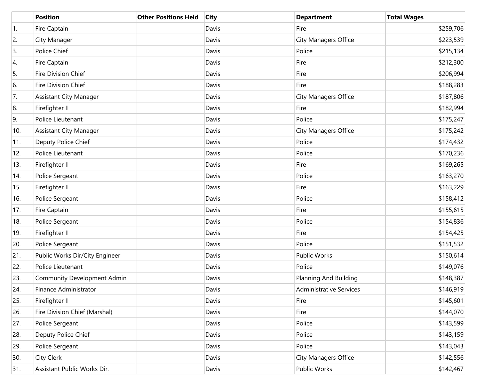|     | <b>Position</b>                    | <b>Other Positions Held</b> | <b>City</b> | <b>Department</b>              | <b>Total Wages</b> |
|-----|------------------------------------|-----------------------------|-------------|--------------------------------|--------------------|
| 1.  | Fire Captain                       |                             | Davis       | Fire                           | \$259,706          |
| 2.  | City Manager                       |                             | Davis       | City Managers Office           | \$223,539          |
| 3.  | Police Chief                       |                             | Davis       | Police                         | \$215,134          |
| 4.  | Fire Captain                       |                             | Davis       | Fire                           | \$212,300          |
| 5.  | Fire Division Chief                |                             | Davis       | Fire                           | \$206,994          |
| 6.  | Fire Division Chief                |                             | Davis       | Fire                           | \$188,283          |
| 7.  | <b>Assistant City Manager</b>      |                             | Davis       | <b>City Managers Office</b>    | \$187,806          |
| 8.  | Firefighter II                     |                             | Davis       | Fire                           | \$182,994          |
| 9.  | Police Lieutenant                  |                             | Davis       | Police                         | \$175,247          |
| 10. | <b>Assistant City Manager</b>      |                             | Davis       | <b>City Managers Office</b>    | \$175,242          |
| 11. | Deputy Police Chief                |                             | Davis       | Police                         | \$174,432          |
| 12. | Police Lieutenant                  |                             | Davis       | Police                         | \$170,236          |
| 13. | Firefighter II                     |                             | Davis       | Fire                           | \$169,265          |
| 14. | Police Sergeant                    |                             | Davis       | Police                         | \$163,270          |
| 15. | Firefighter II                     |                             | Davis       | Fire                           | \$163,229          |
| 16. | Police Sergeant                    |                             | Davis       | Police                         | \$158,412          |
| 17. | Fire Captain                       |                             | Davis       | Fire                           | \$155,615          |
| 18. | Police Sergeant                    |                             | Davis       | Police                         | \$154,836          |
| 19. | Firefighter II                     |                             | Davis       | Fire                           | \$154,425          |
| 20. | Police Sergeant                    |                             | Davis       | Police                         | \$151,532          |
| 21. | Public Works Dir/City Engineer     |                             | Davis       | <b>Public Works</b>            | \$150,614          |
| 22. | Police Lieutenant                  |                             | Davis       | Police                         | \$149,076          |
| 23. | <b>Community Development Admin</b> |                             | Davis       | Planning And Building          | \$148,387          |
| 24. | Finance Administrator              |                             | Davis       | <b>Administrative Services</b> | \$146,919          |
| 25. | Firefighter II                     |                             | Davis       | Fire                           | \$145,601          |
| 26. | Fire Division Chief (Marshal)      |                             | Davis       | Fire                           | \$144,070          |
| 27. | Police Sergeant                    |                             | Davis       | Police                         | \$143,599          |
| 28. | Deputy Police Chief                |                             | Davis       | Police                         | \$143,159          |
| 29. | Police Sergeant                    |                             | Davis       | Police                         | \$143,043          |
| 30. | City Clerk                         |                             | Davis       | City Managers Office           | \$142,556          |
| 31. | Assistant Public Works Dir.        |                             | Davis       | Public Works                   | \$142,467          |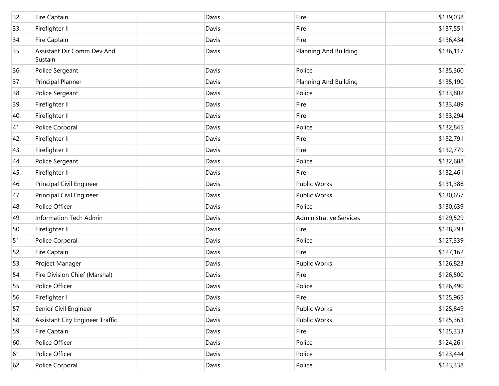| 32. | Fire Captain                           | Davis | Fire                           | \$139,038 |
|-----|----------------------------------------|-------|--------------------------------|-----------|
| 33. | Firefighter II                         | Davis | Fire                           | \$137,551 |
| 34. | Fire Captain                           | Davis | Fire                           | \$136,434 |
| 35. | Assistant Dir Comm Dev And<br>Sustain  | Davis | Planning And Building          | \$136,117 |
| 36. | Police Sergeant                        | Davis | Police                         | \$135,360 |
| 37. | Principal Planner                      | Davis | Planning And Building          | \$135,190 |
| 38. | Police Sergeant                        | Davis | Police                         | \$133,802 |
| 39. | Firefighter II                         | Davis | Fire                           | \$133,489 |
| 40. | Firefighter II                         | Davis | Fire                           | \$133,294 |
| 41. | Police Corporal                        | Davis | Police                         | \$132,845 |
| 42. | Firefighter II                         | Davis | Fire                           | \$132,791 |
| 43. | Firefighter II                         | Davis | Fire                           | \$132,779 |
| 44. | Police Sergeant                        | Davis | Police                         | \$132,688 |
| 45. | Firefighter II                         | Davis | Fire                           | \$132,461 |
| 46. | Principal Civil Engineer               | Davis | Public Works                   | \$131,386 |
| 47. | Principal Civil Engineer               | Davis | Public Works                   | \$130,657 |
| 48. | Police Officer                         | Davis | Police                         | \$130,639 |
| 49. | Information Tech Admin                 | Davis | <b>Administrative Services</b> | \$129,529 |
| 50. | Firefighter II                         | Davis | Fire                           | \$128,293 |
| 51. | Police Corporal                        | Davis | Police                         | \$127,339 |
| 52. | Fire Captain                           | Davis | Fire                           | \$127,162 |
| 53. | Project Manager                        | Davis | Public Works                   | \$126,823 |
| 54. | Fire Division Chief (Marshal)          | Davis | Fire                           | \$126,500 |
| 55. | Police Officer                         | Davis | Police                         | \$126,490 |
| 56. | Firefighter I                          | Davis | Fire                           | \$125,965 |
| 57. | Senior Civil Engineer                  | Davis | Public Works                   | \$125,849 |
| 58. | <b>Assistant City Engineer Traffic</b> | Davis | Public Works                   | \$125,363 |
| 59. | Fire Captain                           | Davis | Fire                           | \$125,333 |
| 60. | Police Officer                         | Davis | Police                         | \$124,261 |
| 61. | Police Officer                         | Davis | Police                         | \$123,444 |
| 62. | Police Corporal                        | Davis | Police                         | \$123,338 |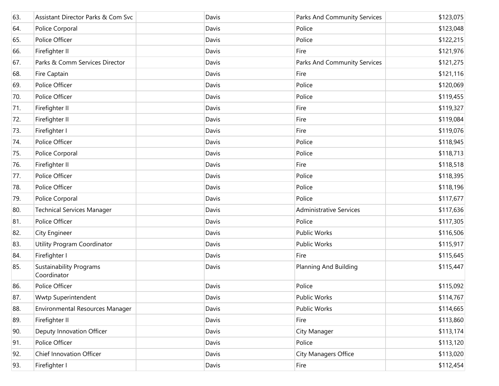| 63. | Assistant Director Parks & Com Svc            | Davis | Parks And Community Services   | \$123,075 |
|-----|-----------------------------------------------|-------|--------------------------------|-----------|
| 64. | Police Corporal                               | Davis | Police                         | \$123,048 |
| 65. | Police Officer                                | Davis | Police                         | \$122,215 |
| 66. | Firefighter II                                | Davis | Fire                           | \$121,976 |
| 67. | Parks & Comm Services Director                | Davis | Parks And Community Services   | \$121,275 |
| 68. | Fire Captain                                  | Davis | Fire                           | \$121,116 |
| 69. | Police Officer                                | Davis | Police                         | \$120,069 |
| 70. | Police Officer                                | Davis | Police                         | \$119,455 |
| 71. | Firefighter II                                | Davis | Fire                           | \$119,327 |
| 72. | Firefighter II                                | Davis | Fire                           | \$119,084 |
| 73. | Firefighter I                                 | Davis | Fire                           | \$119,076 |
| 74. | Police Officer                                | Davis | Police                         | \$118,945 |
| 75. | Police Corporal                               | Davis | Police                         | \$118,713 |
| 76. | Firefighter II                                | Davis | Fire                           | \$118,518 |
| 77. | Police Officer                                | Davis | Police                         | \$118,395 |
| 78. | Police Officer                                | Davis | Police                         | \$118,196 |
| 79. | Police Corporal                               | Davis | Police                         | \$117,677 |
| 80. | Technical Services Manager                    | Davis | <b>Administrative Services</b> | \$117,636 |
| 81. | Police Officer                                | Davis | Police                         | \$117,305 |
| 82. | <b>City Engineer</b>                          | Davis | Public Works                   | \$116,506 |
| 83. | Utility Program Coordinator                   | Davis | Public Works                   | \$115,917 |
| 84. | Firefighter I                                 | Davis | Fire                           | \$115,645 |
| 85. | <b>Sustainability Programs</b><br>Coordinator | Davis | Planning And Building          | \$115,447 |
| 86. | Police Officer                                | Davis | Police                         | \$115,092 |
| 87. | Wwtp Superintendent                           | Davis | Public Works                   | \$114,767 |
| 88. | Environmental Resources Manager               | Davis | Public Works                   | \$114,665 |
| 89. | Firefighter II                                | Davis | Fire                           | \$113,860 |
| 90. | Deputy Innovation Officer                     | Davis | City Manager                   | \$113,174 |
| 91. | Police Officer                                | Davis | Police                         | \$113,120 |
| 92. | Chief Innovation Officer                      | Davis | <b>City Managers Office</b>    | \$113,020 |
| 93. | Firefighter I                                 | Davis | Fire                           | \$112,454 |